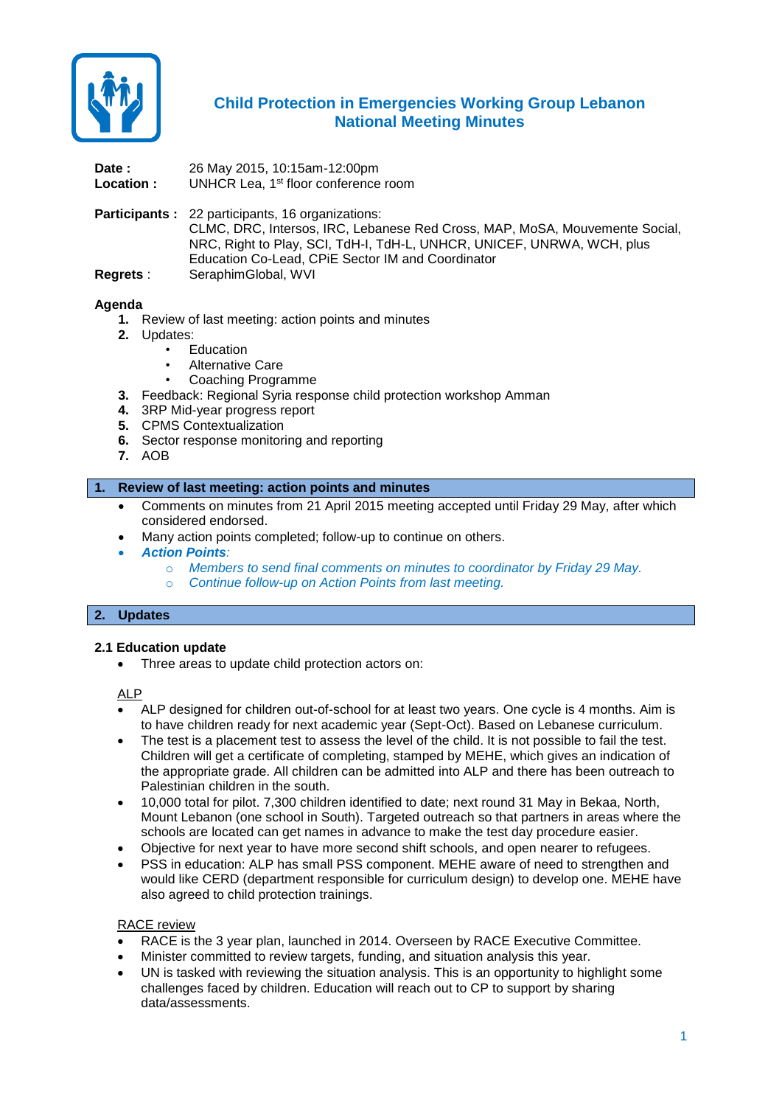

# **Child Protection in Emergencies Working Group Lebanon National Meeting Minutes**

**Date :** 26 May 2015, 10:15am-12:00pm Location : UNHCR Lea, 1<sup>st</sup> floor conference room

**Participants :** 22 participants, 16 organizations: CLMC, DRC, Intersos, IRC, Lebanese Red Cross, MAP, MoSA, Mouvemente Social, NRC, Right to Play, SCI, TdH-I, TdH-L, UNHCR, UNICEF, UNRWA, WCH, plus Education Co-Lead, CPiE Sector IM and Coordinator **Regrets** : SeraphimGlobal, WVI

## **Agenda**

- **1.** Review of last meeting: action points and minutes
- **2.** Updates:
	- **Education**
	- Alternative Care
	- Coaching Programme
- **3.** Feedback: Regional Syria response child protection workshop Amman
- **4.** 3RP Mid-year progress report
- **5.** CPMS Contextualization
- **6.** Sector response monitoring and reporting
- **7.** AOB

#### **1. Review of last meeting: action points and minutes**

- Comments on minutes from 21 April 2015 meeting accepted until Friday 29 May, after which considered endorsed.
- Many action points completed; follow-up to continue on others.
- *Action Points:* 
	- o *Members to send final comments on minutes to coordinator by Friday 29 May.*
	- o *Continue follow-up on Action Points from last meeting.*

#### **2. Updates**

## **2.1 Education update**

• Three areas to update child protection actors on:

#### ALP

- ALP designed for children out-of-school for at least two years. One cycle is 4 months. Aim is to have children ready for next academic year (Sept-Oct). Based on Lebanese curriculum.
- The test is a placement test to assess the level of the child. It is not possible to fail the test. Children will get a certificate of completing, stamped by MEHE, which gives an indication of the appropriate grade. All children can be admitted into ALP and there has been outreach to Palestinian children in the south.
- 10,000 total for pilot. 7,300 children identified to date; next round 31 May in Bekaa, North, Mount Lebanon (one school in South). Targeted outreach so that partners in areas where the schools are located can get names in advance to make the test day procedure easier.
- Objective for next year to have more second shift schools, and open nearer to refugees.
- PSS in education: ALP has small PSS component. MEHE aware of need to strengthen and would like CERD (department responsible for curriculum design) to develop one. MEHE have also agreed to child protection trainings.

#### RACE review

- RACE is the 3 year plan, launched in 2014. Overseen by RACE Executive Committee.
- Minister committed to review targets, funding, and situation analysis this year.
- UN is tasked with reviewing the situation analysis. This is an opportunity to highlight some challenges faced by children. Education will reach out to CP to support by sharing data/assessments.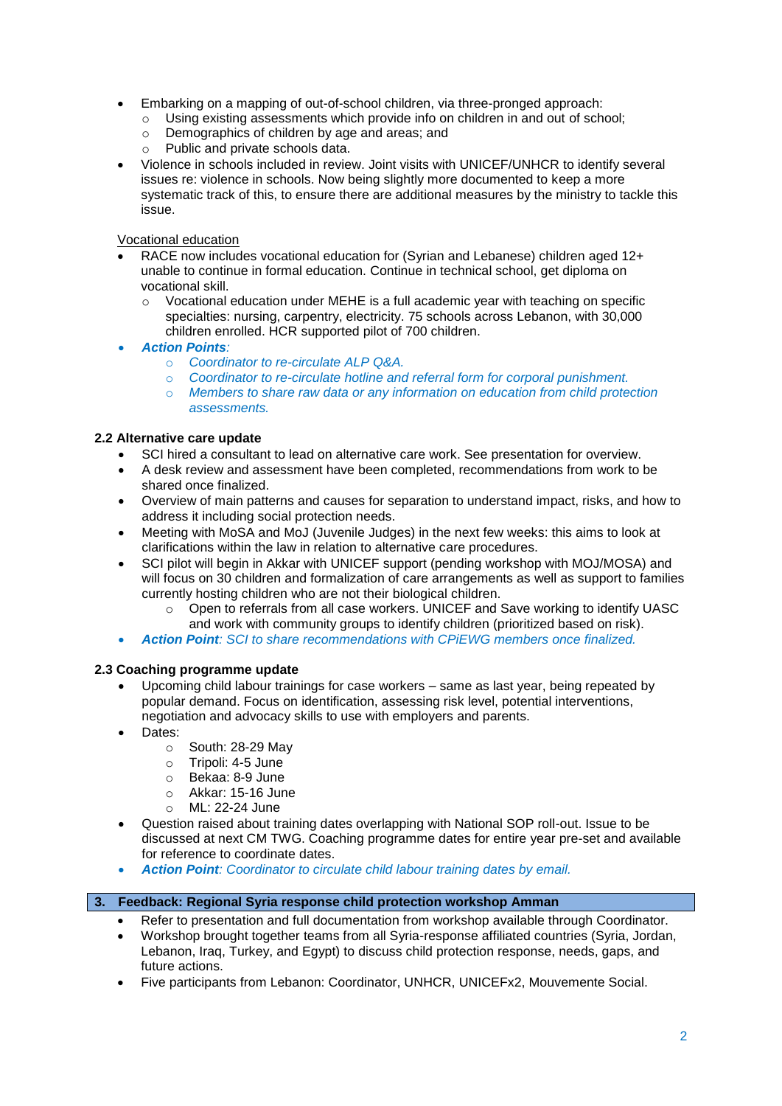- Embarking on a mapping of out-of-school children, via three-pronged approach:
	- $\circ$  Using existing assessments which provide info on children in and out of school;
	- o Demographics of children by age and areas; and
	- o Public and private schools data.
- Violence in schools included in review. Joint visits with UNICEF/UNHCR to identify several issues re: violence in schools. Now being slightly more documented to keep a more systematic track of this, to ensure there are additional measures by the ministry to tackle this issue.

## Vocational education

- RACE now includes vocational education for (Syrian and Lebanese) children aged 12+ unable to continue in formal education. Continue in technical school, get diploma on vocational skill.
	- o Vocational education under MEHE is a full academic year with teaching on specific specialties: nursing, carpentry, electricity. 75 schools across Lebanon, with 30,000 children enrolled. HCR supported pilot of 700 children.
- *Action Points:* 
	- o *Coordinator to re-circulate ALP Q&A.*
	- o *Coordinator to re-circulate hotline and referral form for corporal punishment.*
	- o *Members to share raw data or any information on education from child protection assessments.*

## **2.2 Alternative care update**

- SCI hired a consultant to lead on alternative care work. See presentation for overview.
- A desk review and assessment have been completed, recommendations from work to be shared once finalized.
- Overview of main patterns and causes for separation to understand impact, risks, and how to address it including social protection needs.
- Meeting with MoSA and MoJ (Juvenile Judges) in the next few weeks: this aims to look at clarifications within the law in relation to alternative care procedures.
- SCI pilot will begin in Akkar with UNICEF support (pending workshop with MOJ/MOSA) and will focus on 30 children and formalization of care arrangements as well as support to families currently hosting children who are not their biological children.
	- $\circ$  Open to referrals from all case workers. UNICEF and Save working to identify UASC and work with community groups to identify children (prioritized based on risk).
- *Action Point: SCI to share recommendations with CPiEWG members once finalized.*

# **2.3 Coaching programme update**

- Upcoming child labour trainings for case workers same as last year, being repeated by popular demand. Focus on identification, assessing risk level, potential interventions, negotiation and advocacy skills to use with employers and parents.
- Dates:
	- o South: 28-29 May
	- o Tripoli: 4-5 June
	- o Bekaa: 8-9 June
	- o Akkar: 15-16 June
	- o ML: 22-24 June
- Question raised about training dates overlapping with National SOP roll-out. Issue to be discussed at next CM TWG. Coaching programme dates for entire year pre-set and available for reference to coordinate dates.
- *Action Point: Coordinator to circulate child labour training dates by email.*

## **3. Feedback: Regional Syria response child protection workshop Amman**

- Refer to presentation and full documentation from workshop available through Coordinator.
- Workshop brought together teams from all Syria-response affiliated countries (Syria, Jordan, Lebanon, Iraq, Turkey, and Egypt) to discuss child protection response, needs, gaps, and future actions.
- Five participants from Lebanon: Coordinator, UNHCR, UNICEFx2, Mouvemente Social.